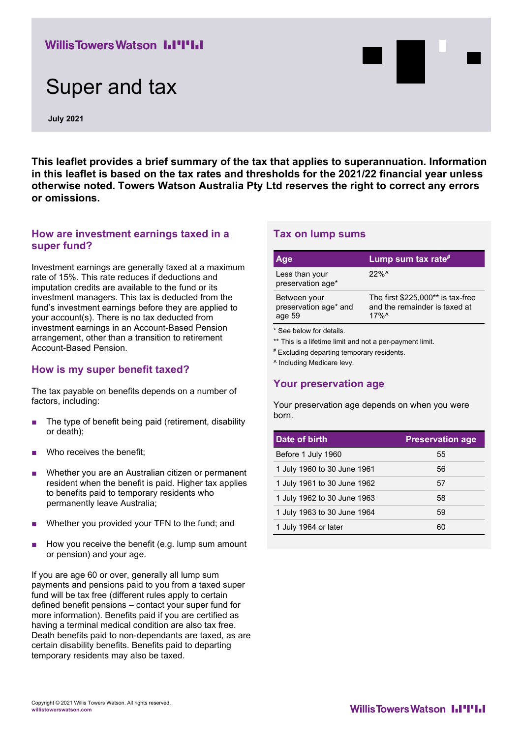# **Willis Towers Watson I.I'I'I.I**

# Super and tax

**July 2021**

**This leaflet provides a brief summary of the tax that applies to superannuation. Information in this leaflet is based on the tax rates and thresholds for the 2021/22 financial year unless otherwise noted. Towers Watson Australia Pty Ltd reserves the right to correct any errors or omissions.**

#### **How are investment earnings taxed in a super fund?**

Investment earnings are generally taxed at a maximum rate of 15%. This rate reduces if deductions and imputation credits are available to the fund or its investment managers. This tax is deducted from the fund's investment earnings before they are applied to your account(s). There is no tax deducted from investment earnings in an Account-Based Pension arrangement, other than a transition to retirement Account-Based Pension.

#### **How is my super benefit taxed?**

The tax payable on benefits depends on a number of factors, including:

- The type of benefit being paid (retirement, disability or death);
- Who receives the benefit:
- Whether you are an Australian citizen or permanent resident when the benefit is paid. Higher tax applies to benefits paid to temporary residents who permanently leave Australia;
- Whether you provided your TFN to the fund; and
- How you receive the benefit (e.g. lump sum amount or pension) and your age.

If you are age 60 or over, generally all lump sum payments and pensions paid to you from a taxed super fund will be tax free (different rules apply to certain defined benefit pensions – contact your super fund for more information). Benefits paid if you are certified as having a terminal medical condition are also tax free. Death benefits paid to non-dependants are taxed, as are certain disability benefits. Benefits paid to departing temporary residents may also be taxed.

#### **Tax on lump sums**

| Age                                                                                 | Lump sum tax rate#                                                                         |  |
|-------------------------------------------------------------------------------------|--------------------------------------------------------------------------------------------|--|
| Less than your<br>preservation age*                                                 | 22%                                                                                        |  |
| Between your<br>preservation age* and<br>age 59                                     | The first $$225,000**$ is tax-free<br>and the remainder is taxed at<br>$17\%$ <sup>^</sup> |  |
| * See below for details.<br>** This is a lifetime limit and not a par poumant limit |                                                                                            |  |

This is a lifetime limit and not a per-payment limit.

# Excluding departing temporary residents.

^ Including Medicare levy.

#### **Your preservation age**

Your preservation age depends on when you were born.

| Date of birth               | <b>Preservation age</b> |
|-----------------------------|-------------------------|
| Before 1 July 1960          | 55                      |
| 1 July 1960 to 30 June 1961 | 56                      |
| 1 July 1961 to 30 June 1962 | 57                      |
| 1 July 1962 to 30 June 1963 | 58                      |
| 1 July 1963 to 30 June 1964 | 59                      |
| 1 July 1964 or later        | 60                      |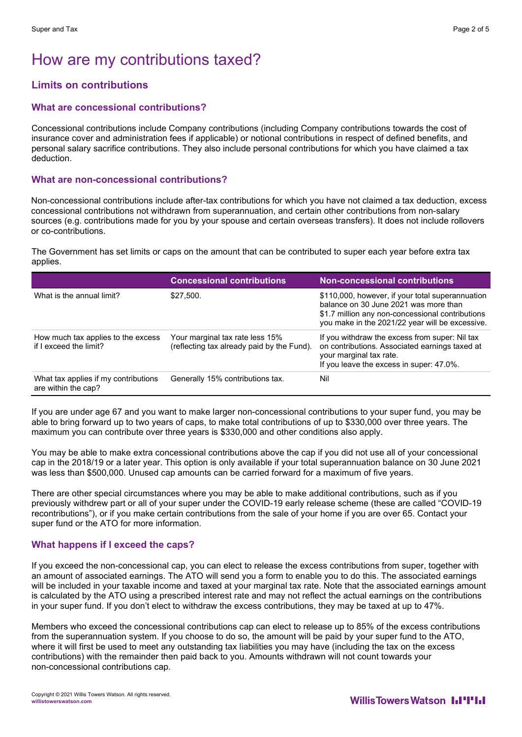# How are my contributions taxed?

## **Limits on contributions**

#### **What are concessional contributions?**

Concessional contributions include Company contributions (including Company contributions towards the cost of insurance cover and administration fees if applicable) or notional contributions in respect of defined benefits, and personal salary sacrifice contributions. They also include personal contributions for which you have claimed a tax deduction.

#### **What are non-concessional contributions?**

Non-concessional contributions include after-tax contributions for which you have not claimed a tax deduction, excess concessional contributions not withdrawn from superannuation, and certain other contributions from non-salary sources (e.g. contributions made for you by your spouse and certain overseas transfers). It does not include rollovers or co-contributions.

The Government has set limits or caps on the amount that can be contributed to super each year before extra tax applies.

|                                                              | <b>Concessional contributions</b>                                             | <b>Non-concessional contributions</b>                                                                                                                                                            |
|--------------------------------------------------------------|-------------------------------------------------------------------------------|--------------------------------------------------------------------------------------------------------------------------------------------------------------------------------------------------|
| What is the annual limit?                                    | \$27,500.                                                                     | \$110,000, however, if your total superannuation<br>balance on 30 June 2021 was more than<br>\$1.7 million any non-concessional contributions<br>you make in the 2021/22 year will be excessive. |
| How much tax applies to the excess<br>if I exceed the limit? | Your marginal tax rate less 15%<br>(reflecting tax already paid by the Fund). | If you withdraw the excess from super: Nil tax<br>on contributions. Associated earnings taxed at<br>your marginal tax rate.<br>If you leave the excess in super: 47.0%.                          |
| What tax applies if my contributions<br>are within the cap?  | Generally 15% contributions tax.                                              | Nil                                                                                                                                                                                              |

If you are under age 67 and you want to make larger non-concessional contributions to your super fund, you may be able to bring forward up to two years of caps, to make total contributions of up to \$330,000 over three years. The maximum you can contribute over three years is \$330,000 and other conditions also apply.

You may be able to make extra concessional contributions above the cap if you did not use all of your concessional cap in the 2018/19 or a later year. This option is only available if your total superannuation balance on 30 June 2021 was less than \$500,000. Unused cap amounts can be carried forward for a maximum of five years.

There are other special circumstances where you may be able to make additional contributions, such as if you previously withdrew part or all of your super under the COVID-19 early release scheme (these are called "COVID-19 recontributions"), or if you make certain contributions from the sale of your home if you are over 65. Contact your super fund or the ATO for more information.

#### **What happens if I exceed the caps?**

If you exceed the non-concessional cap, you can elect to release the excess contributions from super, together with an amount of associated earnings. The ATO will send you a form to enable you to do this. The associated earnings will be included in your taxable income and taxed at your marginal tax rate. Note that the associated earnings amount is calculated by the ATO using a prescribed interest rate and may not reflect the actual earnings on the contributions in your super fund. If you don't elect to withdraw the excess contributions, they may be taxed at up to 47%.

Members who exceed the concessional contributions cap can elect to release up to 85% of the excess contributions from the superannuation system. If you choose to do so, the amount will be paid by your super fund to the ATO, where it will first be used to meet any outstanding tax liabilities you may have (including the tax on the excess contributions) with the remainder then paid back to you. Amounts withdrawn will not count towards your non-concessional contributions cap.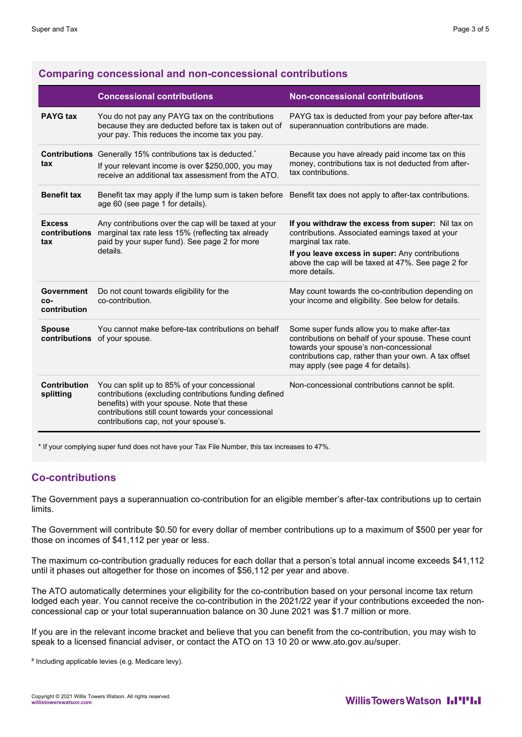#### **Comparing concessional and non-concessional contributions**

|                                                   | <b>Concessional contributions</b>                                                                                                                                                                                                                     | <b>Non-concessional contributions</b>                                                                                                                                                                                                         |
|---------------------------------------------------|-------------------------------------------------------------------------------------------------------------------------------------------------------------------------------------------------------------------------------------------------------|-----------------------------------------------------------------------------------------------------------------------------------------------------------------------------------------------------------------------------------------------|
| <b>PAYG tax</b>                                   | You do not pay any PAYG tax on the contributions<br>because they are deducted before tax is taken out of<br>your pay. This reduces the income tax you pay.                                                                                            | PAYG tax is deducted from your pay before after-tax<br>superannuation contributions are made.                                                                                                                                                 |
| tax                                               | <b>Contributions</b> Generally 15% contributions tax is deducted. <sup>*</sup><br>If your relevant income is over \$250,000, you may<br>receive an additional tax assessment from the ATO.                                                            | Because you have already paid income tax on this<br>money, contributions tax is not deducted from after-<br>tax contributions.                                                                                                                |
| <b>Benefit tax</b>                                | Benefit tax may apply if the lump sum is taken before Benefit tax does not apply to after-tax contributions.<br>age 60 (see page 1 for details).                                                                                                      |                                                                                                                                                                                                                                               |
| <b>Excess</b><br>contributions<br>tax<br>details. | Any contributions over the cap will be taxed at your<br>marginal tax rate less 15% (reflecting tax already<br>paid by your super fund). See page 2 for more                                                                                           | If you withdraw the excess from super: Nil tax on<br>contributions. Associated earnings taxed at your<br>marginal tax rate.                                                                                                                   |
|                                                   |                                                                                                                                                                                                                                                       | If you leave excess in super: Any contributions<br>above the cap will be taxed at 47%. See page 2 for<br>more details.                                                                                                                        |
| Government<br>CO-<br>contribution                 | Do not count towards eligibility for the<br>co-contribution.                                                                                                                                                                                          | May count towards the co-contribution depending on<br>your income and eligibility. See below for details.                                                                                                                                     |
| <b>Spouse</b><br>contributions                    | You cannot make before-tax contributions on behalf<br>of your spouse.                                                                                                                                                                                 | Some super funds allow you to make after-tax<br>contributions on behalf of your spouse. These count<br>towards your spouse's non-concessional<br>contributions cap, rather than your own. A tax offset<br>may apply (see page 4 for details). |
| <b>Contribution</b><br>splitting                  | You can split up to 85% of your concessional<br>contributions (excluding contributions funding defined<br>benefits) with your spouse. Note that these<br>contributions still count towards your concessional<br>contributions cap, not your spouse's. | Non-concessional contributions cannot be split.                                                                                                                                                                                               |

\* If your complying super fund does not have your Tax File Number, this tax increases to 47%.

#### **Co-contributions**

The Government pays a superannuation co-contribution for an eligible member's after-tax contributions up to certain limits.

The Government will contribute \$0.50 for every dollar of member contributions up to a maximum of \$500 per year for those on incomes of \$41,112 per year or less.

The maximum co-contribution gradually reduces for each dollar that a person's total annual income exceeds \$41,112 until it phases out altogether for those on incomes of \$56,112 per year and above.

The ATO automatically determines your eligibility for the co-contribution based on your personal income tax return lodged each year. You cannot receive the co-contribution in the 2021/22 year if your contributions exceeded the nonconcessional cap or your total superannuation balance on 30 June 2021 was \$1.7 million or more.

If you are in the relevant income bracket and believe that you can benefit from the co-contribution, you may wish to speak to a licensed financial adviser, or contact the ATO on 13 10 20 or [www.ato.gov.au/super.](http://www.ato.gov.au/super)

# Including applicable levies (e.g. Medicare levy).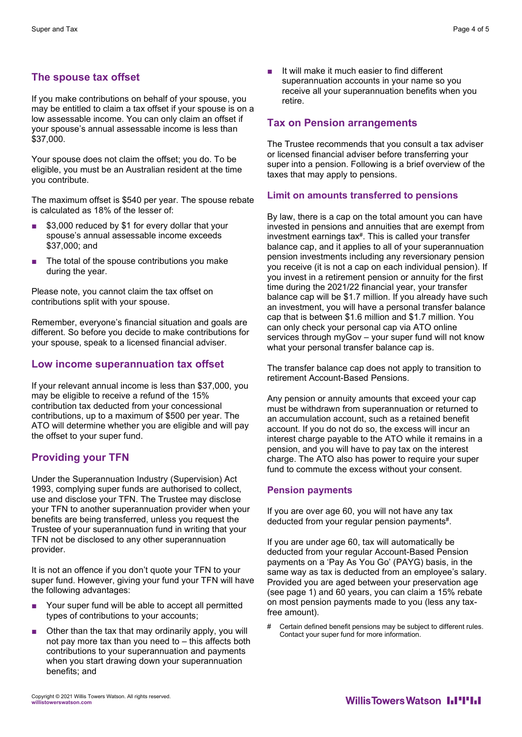### **The spouse tax offset**

If you make contributions on behalf of your spouse, you may be entitled to claim a tax offset if your spouse is on a low assessable income. You can only claim an offset if your spouse's annual assessable income is less than \$37,000.

Your spouse does not claim the offset; you do. To be eligible, you must be an Australian resident at the time you contribute.

The maximum offset is \$540 per year. The spouse rebate is calculated as 18% of the lesser of:

- \$3,000 reduced by \$1 for every dollar that your spouse's annual assessable income exceeds \$37,000; and
- The total of the spouse contributions you make during the year.

Please note, you cannot claim the tax offset on contributions split with your spouse.

Remember, everyone's financial situation and goals are different. So before you decide to make contributions for your spouse, speak to a licensed financial adviser.

#### **Low income superannuation tax offset**

If your relevant annual income is less than \$37,000, you may be eligible to receive a refund of the 15% contribution tax deducted from your concessional contributions, up to a maximum of \$500 per year. The ATO will determine whether you are eligible and will pay the offset to your super fund.

#### **Providing your TFN**

Under the Superannuation Industry (Supervision) Act 1993, complying super funds are authorised to collect, use and disclose your TFN. The Trustee may disclose your TFN to another superannuation provider when your benefits are being transferred, unless you request the Trustee of your superannuation fund in writing that your TFN not be disclosed to any other superannuation provider.

It is not an offence if you don't quote your TFN to your super fund. However, giving your fund your TFN will have the following advantages:

- Your super fund will be able to accept all permitted types of contributions to your accounts;
- Other than the tax that may ordinarily apply, you will not pay more tax than you need to – this affects both contributions to your superannuation and payments when you start drawing down your superannuation benefits; and

It will make it much easier to find different superannuation accounts in your name so you receive all your superannuation benefits when you retire.

#### **Tax on Pension arrangements**

The Trustee recommends that you consult a tax adviser or licensed financial adviser before transferring your super into a pension. Following is a brief overview of the taxes that may apply to pensions.

#### **Limit on amounts transferred to pensions**

By law, there is a cap on the total amount you can have invested in pensions and annuities that are exempt from investment earnings tax#. This is called your transfer balance cap, and it applies to all of your superannuation pension investments including any reversionary pension you receive (it is not a cap on each individual pension). If you invest in a retirement pension or annuity for the first time during the 2021/22 financial year, your transfer balance cap will be \$1.7 million. If you already have such an investment, you will have a personal transfer balance cap that is between \$1.6 million and \$1.7 million. You can only check your personal cap via ATO online services through myGov – your super fund will not know what your personal transfer balance cap is.

The transfer balance cap does not apply to transition to retirement Account-Based Pensions.

Any pension or annuity amounts that exceed your cap must be withdrawn from superannuation or returned to an accumulation account, such as a retained benefit account. If you do not do so, the excess will incur an interest charge payable to the ATO while it remains in a pension, and you will have to pay tax on the interest charge. The ATO also has power to require your super fund to commute the excess without your consent.

#### **Pension payments**

If you are over age 60, you will not have any tax deducted from your regular pension payments#.

If you are under age 60, tax will automatically be deducted from your regular Account-Based Pension payments on a 'Pay As You Go' (PAYG) basis, in the same way as tax is deducted from an employee's salary. Provided you are aged between your preservation age (see page 1) and 60 years, you can claim a 15% rebate on most pension payments made to you (less any taxfree amount).

# Certain defined benefit pensions may be subject to different rules. Contact your super fund for more information.